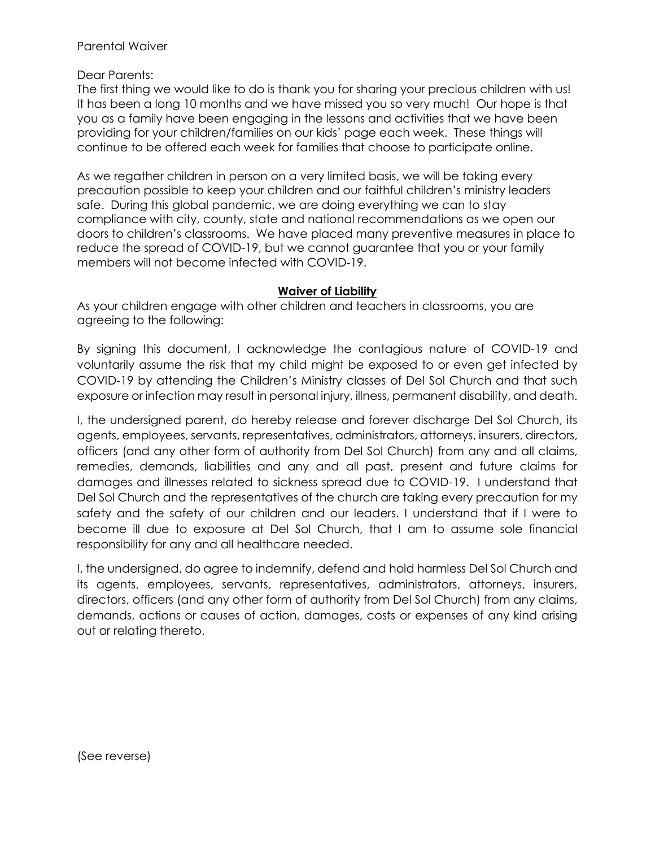Parental Waiver

Dear Parents:

The first thing we would like to do is thank you for sharing your precious children with us! It has been a long 10 months and we have missed you so very much! Our hope is that you as a family have been engaging in the lessons and activities that we have been providing for your children/families on our kids' page each week. These things will continue to be offered each week for families that choose to participate online.

As we regather children in person on a very limited basis, we will be taking every precaution possible to keep your children and our faithful children's ministry leaders safe. During this global pandemic, we are doing everything we can to stay compliance with city, county, state and national recommendations as we open our doors to children's classrooms. We have placed many preventive measures in place to reduce the spread of COVID-19, but we cannot guarantee that you or your family members will not become infected with COVID-19.

## **Waiver of Liability**

As your children engage with other children and teachers in classrooms, you are agreeing to the following:

By signing this document, I acknowledge the contagious nature of COVID-19 and voluntarily assume the risk that my child might be exposed to or even get infected by COVID-19 by attending the Children's Ministry classes of Del Sol Church and that such exposure or infection may result in personal injury, illness, permanent disability, and death.

I, the undersigned parent, do hereby release and forever discharge Del Sol Church, its agents, employees, servants, representatives, administrators, attorneys, insurers, directors, officers (and any other form of authority from Del Sol Church) from any and all claims, remedies, demands, liabilities and any and all past, present and future claims for damages and illnesses related to sickness spread due to COVID-19. I understand that Del Sol Church and the representatives of the church are taking every precaution for my safety and the safety of our children and our leaders. I understand that if I were to become ill due to exposure at Del Sol Church, that I am to assume sole financial responsibility for any and all healthcare needed.

I, the undersigned, do agree to indemnify, defend and hold harmless Del Sol Church and its agents, employees, servants, representatives, administrators, attorneys, insurers, directors, officers (and any other form of authority from Del Sol Church) from any claims, demands, actions or causes of action, damages, costs or expenses of any kind arising out or relating thereto.

(See reverse)